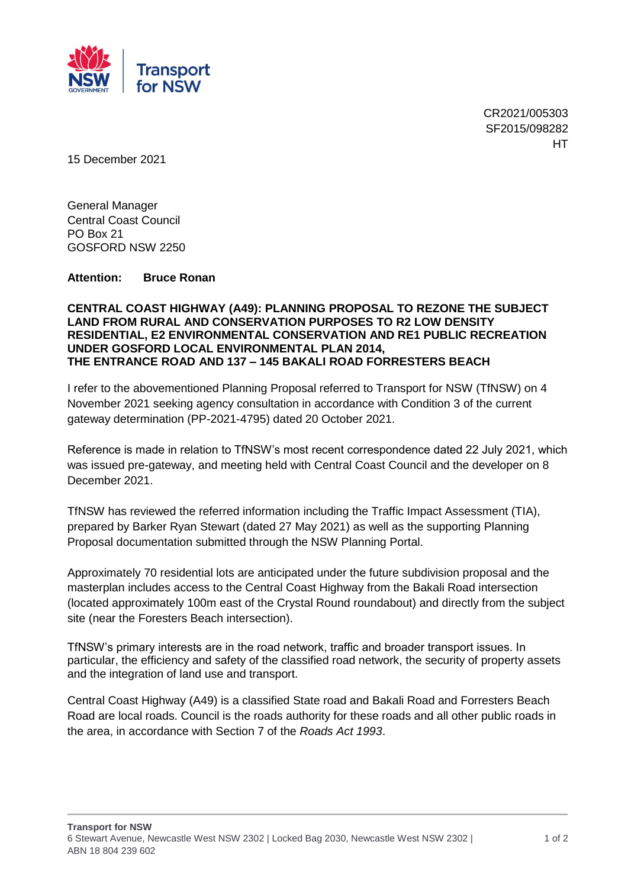

CR2021/005303 SF2015/098282 **HT** 

15 December 2021

General Manager Central Coast Council PO Box 21 GOSFORD NSW 2250

**Attention: Bruce Ronan**

## **CENTRAL COAST HIGHWAY (A49): PLANNING PROPOSAL TO REZONE THE SUBJECT LAND FROM RURAL AND CONSERVATION PURPOSES TO R2 LOW DENSITY RESIDENTIAL, E2 ENVIRONMENTAL CONSERVATION AND RE1 PUBLIC RECREATION UNDER GOSFORD LOCAL ENVIRONMENTAL PLAN 2014, THE ENTRANCE ROAD AND 137 – 145 BAKALI ROAD FORRESTERS BEACH**

I refer to the abovementioned Planning Proposal referred to Transport for NSW (TfNSW) on 4 November 2021 seeking agency consultation in accordance with Condition 3 of the current gateway determination (PP-2021-4795) dated 20 October 2021.

Reference is made in relation to TfNSW's most recent correspondence dated 22 July 2021, which was issued pre-gateway, and meeting held with Central Coast Council and the developer on 8 December 2021.

TfNSW has reviewed the referred information including the Traffic Impact Assessment (TIA), prepared by Barker Ryan Stewart (dated 27 May 2021) as well as the supporting Planning Proposal documentation submitted through the NSW Planning Portal.

Approximately 70 residential lots are anticipated under the future subdivision proposal and the masterplan includes access to the Central Coast Highway from the Bakali Road intersection (located approximately 100m east of the Crystal Round roundabout) and directly from the subject site (near the Foresters Beach intersection).

TfNSW's primary interests are in the road network, traffic and broader transport issues. In particular, the efficiency and safety of the classified road network, the security of property assets and the integration of land use and transport.

Central Coast Highway (A49) is a classified State road and Bakali Road and Forresters Beach Road are local roads. Council is the roads authority for these roads and all other public roads in the area, in accordance with Section 7 of the *Roads Act 1993*.